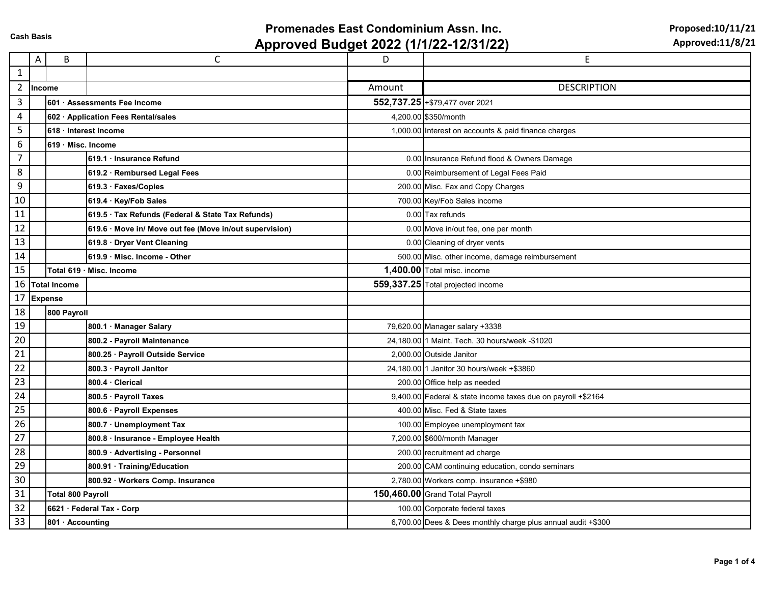## **Promenades East Condominium Assn. Inc.**

**Approved Budget 2022 (1/1/22-12/31/22)**

**Proposed:10/11/21** 

|                  | Α             | B                        | $\mathsf{C}$                                            | D      | E                                                            |
|------------------|---------------|--------------------------|---------------------------------------------------------|--------|--------------------------------------------------------------|
| $\mathbf{1}$     |               |                          |                                                         |        |                                                              |
| $\overline{2}$   | <b>Income</b> |                          |                                                         | Amount | <b>DESCRIPTION</b>                                           |
| $\overline{3}$   |               |                          | 601 Assessments Fee Income                              |        | 552,737.25 + \$79,477 over 2021                              |
| 4                |               |                          | 602 · Application Fees Rental/sales                     |        | 4,200.00 \$350/month                                         |
| 5                |               | 618 Interest Income      |                                                         |        | 1,000.00 Interest on accounts & paid finance charges         |
| $\boldsymbol{6}$ |               | 619 Misc. Income         |                                                         |        |                                                              |
| $\overline{7}$   |               |                          | 619.1 Insurance Refund                                  |        | 0.00 Insurance Refund flood & Owners Damage                  |
| 8                |               |                          | 619.2 · Rembursed Legal Fees                            |        | 0.00 Reimbursement of Legal Fees Paid                        |
| 9                |               |                          | 619.3 · Faxes/Copies                                    |        | 200.00 Misc. Fax and Copy Charges                            |
| 10               |               |                          | 619.4 · Key/Fob Sales                                   |        | 700.00 Key/Fob Sales income                                  |
| 11               |               |                          | 619.5 · Tax Refunds (Federal & State Tax Refunds)       |        | 0.00 Tax refunds                                             |
| 12               |               |                          | 619.6 · Move in/ Move out fee (Move in/out supervision) |        | 0.00 Move in/out fee, one per month                          |
| 13               |               |                          | 619.8 · Dryer Vent Cleaning                             |        | 0.00 Cleaning of dryer vents                                 |
| 14               |               |                          | 619.9 Misc. Income - Other                              |        | 500.00 Misc. other income, damage reimbursement              |
| 15               |               |                          | Total 619 · Misc. Income                                |        | 1,400.00 Total misc. income                                  |
|                  |               | 16 Total Income          |                                                         |        | 559,337.25 Total projected income                            |
|                  |               | 17 Expense               |                                                         |        |                                                              |
| 18               |               | 800 Payroll              |                                                         |        |                                                              |
| 19               |               |                          | 800.1 · Manager Salary                                  |        | 79,620.00 Manager salary +3338                               |
| 20               |               |                          | 800.2 - Payroll Maintenance                             |        | 24,180.00 1 Maint. Tech. 30 hours/week -\$1020               |
| 21               |               |                          | 800.25 · Payroll Outside Service                        |        | 2,000.00 Outside Janitor                                     |
| 22               |               |                          | 800.3 · Payroll Janitor                                 |        | 24,180.00 1 Janitor 30 hours/week +\$3860                    |
| 23               |               |                          | 800.4 Clerical                                          |        | 200.00 Office help as needed                                 |
| 24               |               |                          | 800.5 · Payroll Taxes                                   |        | 9,400.00 Federal & state income taxes due on payroll +\$2164 |
| 25               |               |                          | 800.6 · Payroll Expenses                                |        | 400.00 Misc. Fed & State taxes                               |
| 26               |               |                          | 800.7 · Unemployment Tax                                |        | 100.00 Employee unemployment tax                             |
| 27               |               |                          | 800.8 Insurance - Employee Health                       |        | 7,200.00 \$600/month Manager                                 |
| 28               |               |                          | 800.9 Advertising - Personnel                           |        | 200.00 recruitment ad charge                                 |
| 29               |               |                          | 800.91 · Training/Education                             |        | 200.00 CAM continuing education, condo seminars              |
| 30               |               |                          | 800.92 · Workers Comp. Insurance                        |        | 2,780.00 Workers comp. insurance +\$980                      |
| 31               |               | <b>Total 800 Payroll</b> |                                                         |        | 150,460.00 Grand Total Payroll                               |
| 32               |               |                          | 6621 · Federal Tax - Corp                               |        | 100.00 Corporate federal taxes                               |
| 33               |               | 801 · Accounting         |                                                         |        | 6,700.00 Dees & Dees monthly charge plus annual audit +\$300 |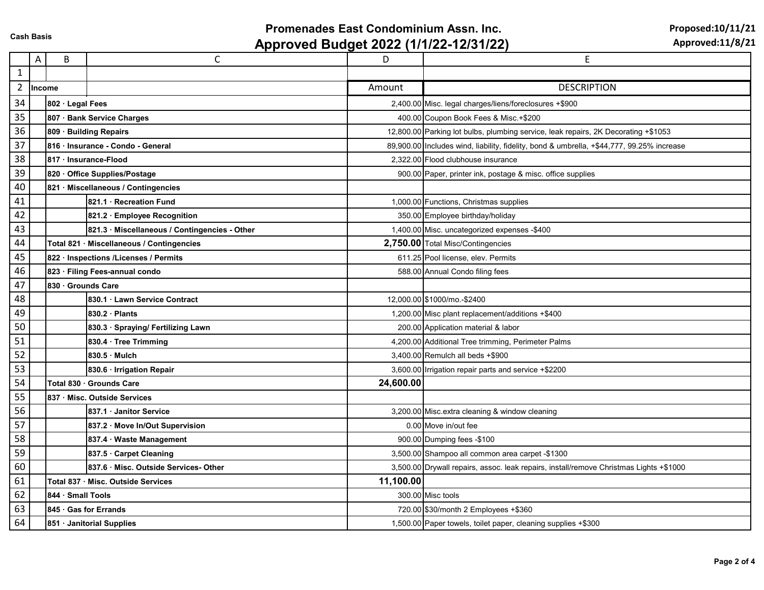## **Promenades East Condominium Assn. Inc.**

**Approved Budget 2022 (1/1/22-12/31/22)**

**Proposed:10/11/21** 

|              | Α        | B                                  | C                                             | D         | Ε                                                                                         |
|--------------|----------|------------------------------------|-----------------------------------------------|-----------|-------------------------------------------------------------------------------------------|
| $\mathbf{1}$ |          |                                    |                                               |           |                                                                                           |
|              | 2 Income |                                    |                                               | Amount    | <b>DESCRIPTION</b>                                                                        |
| 34           |          | 802 Legal Fees                     |                                               |           | 2,400.00 Misc. legal charges/liens/foreclosures +\$900                                    |
| 35           |          | 807 · Bank Service Charges         |                                               |           | 400.00 Coupon Book Fees & Misc.+\$200                                                     |
| 36           |          | 809 · Building Repairs             |                                               |           | 12,800.00 Parking lot bulbs, plumbing service, leak repairs, 2K Decorating +\$1053        |
| 37           |          | 816 Insurance - Condo - General    |                                               |           | 89,900.00 Includes wind, liability, fidelity, bond & umbrella, +\$44,777, 99.25% increase |
| 38           |          | 817 · Insurance-Flood              |                                               |           | 2,322.00 Flood clubhouse insurance                                                        |
| 39           |          | 820 Office Supplies/Postage        |                                               |           | 900.00 Paper, printer ink, postage & misc. office supplies                                |
| 40           |          |                                    | 821 · Miscellaneous / Contingencies           |           |                                                                                           |
| 41           |          |                                    | 821.1 · Recreation Fund                       |           | 1,000.00 Functions, Christmas supplies                                                    |
| 42           |          |                                    | 821.2 · Employee Recognition                  |           | 350.00 Employee birthday/holiday                                                          |
| 43           |          |                                    | 821.3 · Miscellaneous / Contingencies - Other |           | 1,400.00 Misc. uncategorized expenses -\$400                                              |
| 44           |          |                                    | Total 821 · Miscellaneous / Contingencies     |           | 2,750.00 Total Misc/Contingencies                                                         |
| 45           |          |                                    | 822 · Inspections /Licenses / Permits         |           | 611.25 Pool license, elev. Permits                                                        |
| 46           |          | 823 · Filing Fees-annual condo     |                                               |           | 588.00 Annual Condo filing fees                                                           |
| 47           |          | 830 Grounds Care                   |                                               |           |                                                                                           |
| 48           |          |                                    | 830.1 Lawn Service Contract                   |           | 12,000.00 \$1000/mo.-\$2400                                                               |
| 49           |          |                                    | 830.2 Plants                                  |           | 1,200.00 Misc plant replacement/additions +\$400                                          |
| 50           |          |                                    | 830.3 · Spraying/ Fertilizing Lawn            |           | 200.00 Application material & labor                                                       |
| 51           |          |                                    | 830.4 · Tree Trimming                         |           | 4,200.00 Additional Tree trimming, Perimeter Palms                                        |
| 52           |          |                                    | $830.5 \cdot$ Mulch                           |           | 3.400.00 Remulch all beds +\$900                                                          |
| 53           |          |                                    | 830.6 · Irrigation Repair                     |           | 3,600.00 Irrigation repair parts and service +\$2200                                      |
| 54           |          |                                    | Total 830 Grounds Care                        | 24,600.00 |                                                                                           |
| 55           |          |                                    | 837 Misc. Outside Services                    |           |                                                                                           |
| 56           |          |                                    | 837.1 Janitor Service                         |           | 3,200.00 Misc.extra cleaning & window cleaning                                            |
| 57           |          |                                    | 837.2 · Move In/Out Supervision               |           | 0.00 Move in/out fee                                                                      |
| 58           |          |                                    | 837.4 · Waste Management                      |           | 900.00 Dumping fees -\$100                                                                |
| 59           |          |                                    | 837.5 Carpet Cleaning                         |           | 3,500.00 Shampoo all common area carpet -\$1300                                           |
| 60           |          |                                    | 837.6 Misc. Outside Services-Other            |           | 3,500.00 Drywall repairs, assoc. leak repairs, install/remove Christmas Lights +\$1000    |
| 61           |          | Total 837 · Misc. Outside Services |                                               | 11,100.00 |                                                                                           |
| 62           |          | 844 · Small Tools                  |                                               |           | 300.00 Misc tools                                                                         |
| 63           |          | 845 Gas for Errands                |                                               |           | 720.00 \$30/month 2 Employees +\$360                                                      |
| 64           |          | 851 Janitorial Supplies            |                                               |           | 1,500.00 Paper towels, toilet paper, cleaning supplies +\$300                             |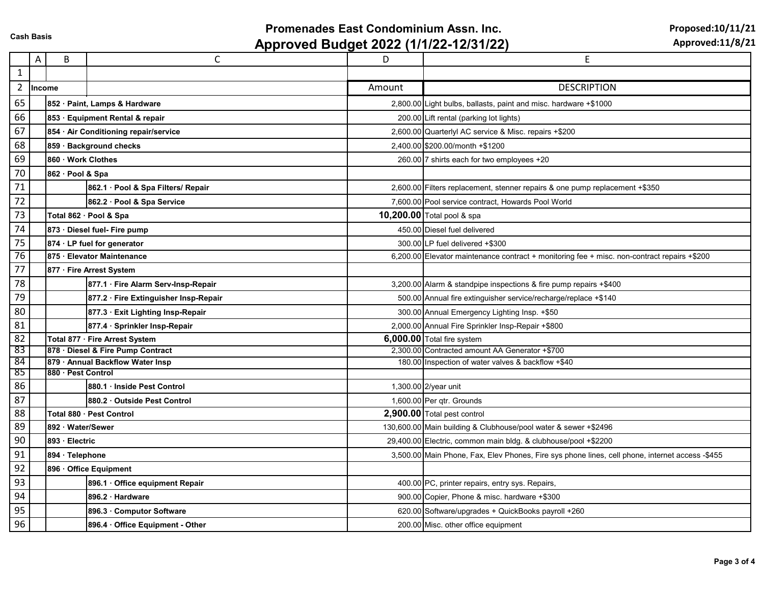## **Promenades East Condominium Assn. Inc.**

**Approved Budget 2022 (1/1/22-12/31/22)**

**Proposed:10/11/21** 

|                | A | B                                     | C                                     | D      | $\mathsf E$                                                                                     |
|----------------|---|---------------------------------------|---------------------------------------|--------|-------------------------------------------------------------------------------------------------|
| $\mathbf{1}$   |   |                                       |                                       |        |                                                                                                 |
| $\overline{2}$ |   | Income                                |                                       | Amount | <b>DESCRIPTION</b>                                                                              |
| 65             |   |                                       | 852 · Paint, Lamps & Hardware         |        | 2,800.00 Light bulbs, ballasts, paint and misc. hardware +\$1000                                |
| 66             |   | 853 · Equipment Rental & repair       |                                       |        | 200.00 Lift rental (parking lot lights)                                                         |
| 67             |   | 854 · Air Conditioning repair/service |                                       |        | 2,600.00 Quarterlyl AC service & Misc. repairs +\$200                                           |
| 68             |   | 859 · Background checks               |                                       |        | 2.400.00 \$200.00/month +\$1200                                                                 |
| 69             |   | 860 Work Clothes                      |                                       |        | 260.00 7 shirts each for two employees +20                                                      |
| 70             |   | 862 · Pool & Spa                      |                                       |        |                                                                                                 |
| 71             |   |                                       | 862.1 Pool & Spa Filters/ Repair      |        | 2,600.00 Filters replacement, stenner repairs & one pump replacement +\$350                     |
| 72             |   |                                       | 862.2 · Pool & Spa Service            |        | 7,600.00 Pool service contract, Howards Pool World                                              |
| 73             |   |                                       | Total 862 · Pool & Spa                |        | 10,200.00 Total pool & spa                                                                      |
| 74             |   | 873 · Diesel fuel- Fire pump          |                                       |        | 450.00 Diesel fuel delivered                                                                    |
| 75             |   |                                       | 874 · LP fuel for generator           |        | 300.00 LP fuel delivered +\$300                                                                 |
| 76             |   | 875 · Elevator Maintenance            |                                       |        | 6,200.00 Elevator maintenance contract + monitoring fee + misc. non-contract repairs +\$200     |
| 77             |   | 877 · Fire Arrest System              |                                       |        |                                                                                                 |
| 78             |   |                                       | 877.1 · Fire Alarm Serv-Insp-Repair   |        | 3,200.00 Alarm & standpipe inspections & fire pump repairs +\$400                               |
| 79             |   |                                       | 877.2 · Fire Extinguisher Insp-Repair |        | 500.00 Annual fire extinguisher service/recharge/replace +\$140                                 |
| 80             |   |                                       | 877.3 · Exit Lighting Insp-Repair     |        | 300.00 Annual Emergency Lighting Insp. +\$50                                                    |
| 81             |   |                                       | 877.4 · Sprinkler Insp-Repair         |        | 2,000.00 Annual Fire Sprinkler Insp-Repair +\$800                                               |
| 82             |   |                                       | Total 877 · Fire Arrest System        |        | 6,000.00 Total fire system                                                                      |
| 83             |   | 878 · Diesel & Fire Pump Contract     |                                       |        | 2,300.00 Contracted amount AA Generator +\$700                                                  |
| 84             |   | 879 · Annual Backflow Water Insp      |                                       |        | 180.00 Inspection of water valves & backflow +\$40                                              |
| 85             |   | 880 Pest Control                      |                                       |        |                                                                                                 |
| 86             |   |                                       | 880.1 · Inside Pest Control           |        | 1,300.00 2/year unit                                                                            |
| 87             |   |                                       | 880.2 · Outside Pest Control          |        | 1,600.00 Per qtr. Grounds                                                                       |
| 88             |   | Total 880 · Pest Control              |                                       |        | 2,900.00 Total pest control                                                                     |
| 89             |   | 892 · Water/Sewer                     |                                       |        | 130,600.00 Main building & Clubhouse/pool water & sewer +\$2496                                 |
| 90             |   | 893 · Electric                        |                                       |        | 29,400.00 Electric, common main bldg. & clubhouse/pool +\$2200                                  |
| 91             |   | 894 Telephone                         |                                       |        | 3,500.00 Main Phone, Fax, Elev Phones, Fire sys phone lines, cell phone, internet access -\$455 |
| 92             |   | 896 Office Equipment                  |                                       |        |                                                                                                 |
| 93             |   |                                       | 896.1 Office equipment Repair         |        | 400.00 PC, printer repairs, entry sys. Repairs,                                                 |
| 94             |   |                                       | 896.2 Hardware                        |        | 900.00 Copier, Phone & misc. hardware +\$300                                                    |
| 95             |   |                                       | 896.3 Computor Software               |        | 620.00 Software/upgrades + QuickBooks payroll +260                                              |
| 96             |   |                                       | 896.4 Office Equipment - Other        |        | 200.00 Misc. other office equipment                                                             |